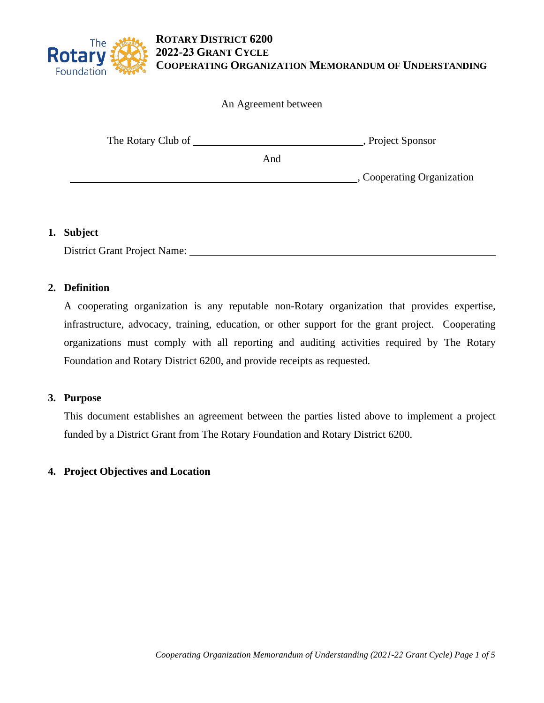

An Agreement between

| The Rotary Club of |     | , Project Sponsor          |
|--------------------|-----|----------------------------|
|                    | And |                            |
|                    |     | , Cooperating Organization |
|                    |     |                            |

### **1. Subject**

District Grant Project Name:

## **2. Definition**

A cooperating organization is any reputable non-Rotary organization that provides expertise, infrastructure, advocacy, training, education, or other support for the grant project. Cooperating organizations must comply with all reporting and auditing activities required by The Rotary Foundation and Rotary District 6200, and provide receipts as requested.

### **3. Purpose**

This document establishes an agreement between the parties listed above to implement a project funded by a District Grant from The Rotary Foundation and Rotary District 6200.

# **4. Project Objectives and Location**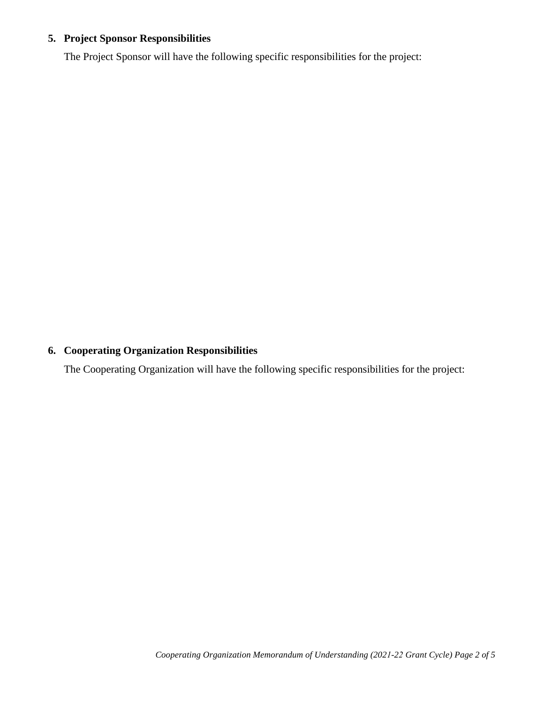# **5. Project Sponsor Responsibilities**

The Project Sponsor will have the following specific responsibilities for the project:

# **6. Cooperating Organization Responsibilities**

The Cooperating Organization will have the following specific responsibilities for the project: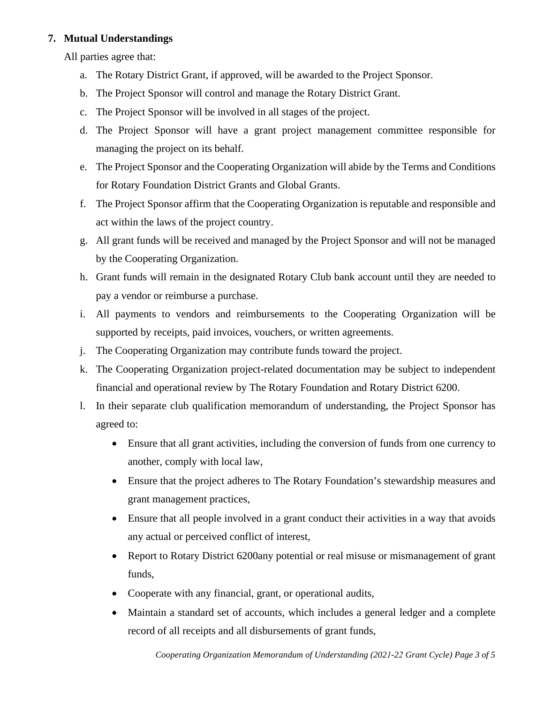## **7. Mutual Understandings**

All parties agree that:

- a. The Rotary District Grant, if approved, will be awarded to the Project Sponsor.
- b. The Project Sponsor will control and manage the Rotary District Grant.
- c. The Project Sponsor will be involved in all stages of the project.
- d. The Project Sponsor will have a grant project management committee responsible for managing the project on its behalf.
- e. The Project Sponsor and the Cooperating Organization will abide by the Terms and Conditions for Rotary Foundation District Grants and Global Grants.
- f. The Project Sponsor affirm that the Cooperating Organization is reputable and responsible and act within the laws of the project country.
- g. All grant funds will be received and managed by the Project Sponsor and will not be managed by the Cooperating Organization.
- h. Grant funds will remain in the designated Rotary Club bank account until they are needed to pay a vendor or reimburse a purchase.
- i. All payments to vendors and reimbursements to the Cooperating Organization will be supported by receipts, paid invoices, vouchers, or written agreements.
- j. The Cooperating Organization may contribute funds toward the project.
- k. The Cooperating Organization project-related documentation may be subject to independent financial and operational review by The Rotary Foundation and Rotary District 6200.
- l. In their separate club qualification memorandum of understanding, the Project Sponsor has agreed to:
	- Ensure that all grant activities, including the conversion of funds from one currency to another, comply with local law,
	- Ensure that the project adheres to The Rotary Foundation's stewardship measures and grant management practices,
	- Ensure that all people involved in a grant conduct their activities in a way that avoids any actual or perceived conflict of interest,
	- Report to Rotary District 6200any potential or real misuse or mismanagement of grant funds,
	- Cooperate with any financial, grant, or operational audits,
	- Maintain a standard set of accounts, which includes a general ledger and a complete record of all receipts and all disbursements of grant funds,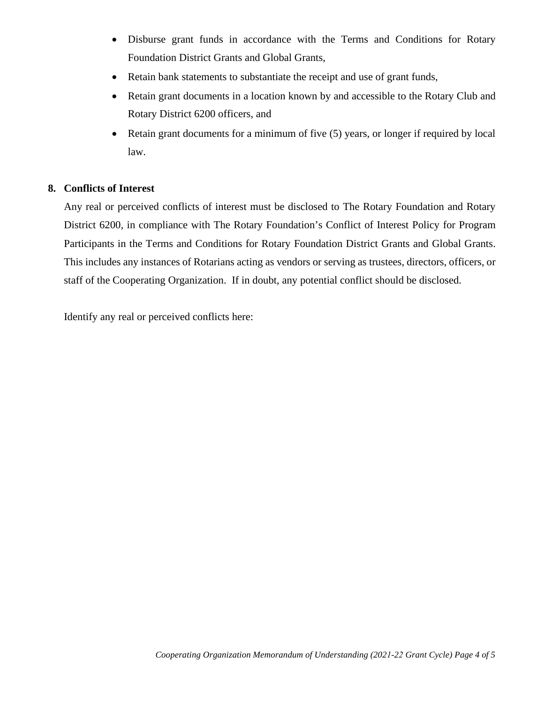- Disburse grant funds in accordance with the Terms and Conditions for Rotary Foundation District Grants and Global Grants,
- Retain bank statements to substantiate the receipt and use of grant funds,
- Retain grant documents in a location known by and accessible to the Rotary Club and Rotary District 6200 officers, and
- Retain grant documents for a minimum of five (5) years, or longer if required by local law.

### **8. Conflicts of Interest**

Any real or perceived conflicts of interest must be disclosed to The Rotary Foundation and Rotary District 6200, in compliance with The Rotary Foundation's Conflict of Interest Policy for Program Participants in the Terms and Conditions for Rotary Foundation District Grants and Global Grants. This includes any instances of Rotarians acting as vendors or serving as trustees, directors, officers, or staff of the Cooperating Organization. If in doubt, any potential conflict should be disclosed.

Identify any real or perceived conflicts here: